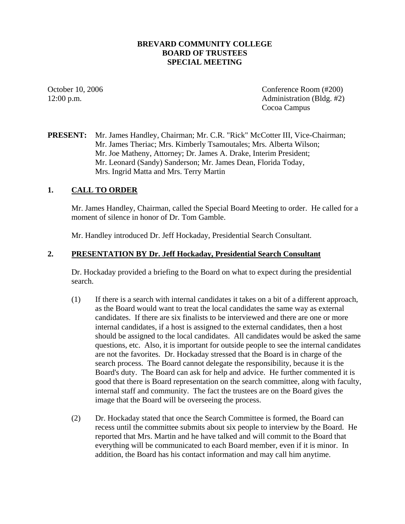## **BREVARD COMMUNITY COLLEGE BOARD OF TRUSTEES SPECIAL MEETING**

October 10, 2006 Conference Room (#200) 12:00 p.m. Administration (Bldg. #2) Cocoa Campus

# **PRESENT:** Mr. James Handley, Chairman; Mr. C.R. "Rick" McCotter III, Vice-Chairman; Mr. James Theriac; Mrs. Kimberly Tsamoutales; Mrs. Alberta Wilson; Mr. Joe Matheny, Attorney; Dr. James A. Drake, Interim President; Mr. Leonard (Sandy) Sanderson; Mr. James Dean, Florida Today, Mrs. Ingrid Matta and Mrs. Terry Martin

## **1. CALL TO ORDER**

Mr. James Handley, Chairman, called the Special Board Meeting to order. He called for a moment of silence in honor of Dr. Tom Gamble.

Mr. Handley introduced Dr. Jeff Hockaday, Presidential Search Consultant.

#### **2. PRESENTATION BY Dr. Jeff Hockaday, Presidential Search Consultant**

Dr. Hockaday provided a briefing to the Board on what to expect during the presidential search.

- (1) If there is a search with internal candidates it takes on a bit of a different approach, as the Board would want to treat the local candidates the same way as external candidates. If there are six finalists to be interviewed and there are one or more internal candidates, if a host is assigned to the external candidates, then a host should be assigned to the local candidates. All candidates would be asked the same questions, etc. Also, it is important for outside people to see the internal candidates are not the favorites. Dr. Hockaday stressed that the Board is in charge of the search process. The Board cannot delegate the responsibility, because it is the Board's duty. The Board can ask for help and advice. He further commented it is good that there is Board representation on the search committee, along with faculty, internal staff and community. The fact the trustees are on the Board gives the image that the Board will be overseeing the process.
- (2) Dr. Hockaday stated that once the Search Committee is formed, the Board can recess until the committee submits about six people to interview by the Board. He reported that Mrs. Martin and he have talked and will commit to the Board that everything will be communicated to each Board member, even if it is minor. In addition, the Board has his contact information and may call him anytime.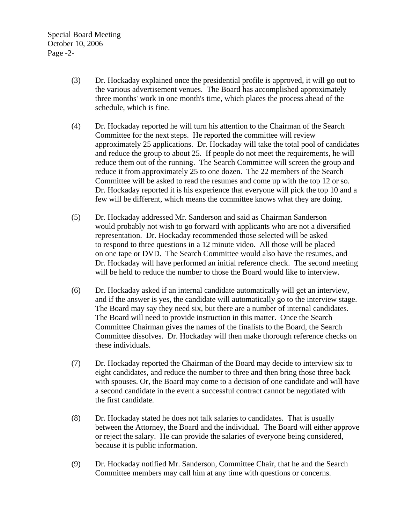Special Board Meeting October 10, 2006 Page -2-

- (3) Dr. Hockaday explained once the presidential profile is approved, it will go out to the various advertisement venues. The Board has accomplished approximately three months' work in one month's time, which places the process ahead of the schedule, which is fine.
- (4) Dr. Hockaday reported he will turn his attention to the Chairman of the Search Committee for the next steps. He reported the committee will review approximately 25 applications. Dr. Hockaday will take the total pool of candidates and reduce the group to about 25. If people do not meet the requirements, he will reduce them out of the running. The Search Committee will screen the group and reduce it from approximately 25 to one dozen. The 22 members of the Search Committee will be asked to read the resumes and come up with the top 12 or so. Dr. Hockaday reported it is his experience that everyone will pick the top 10 and a few will be different, which means the committee knows what they are doing.
- (5) Dr. Hockaday addressed Mr. Sanderson and said as Chairman Sanderson would probably not wish to go forward with applicants who are not a diversified representation. Dr. Hockaday recommended those selected will be asked to respond to three questions in a 12 minute video. All those will be placed on one tape or DVD. The Search Committee would also have the resumes, and Dr. Hockaday will have performed an initial reference check. The second meeting will be held to reduce the number to those the Board would like to interview.
- (6) Dr. Hockaday asked if an internal candidate automatically will get an interview, and if the answer is yes, the candidate will automatically go to the interview stage. The Board may say they need six, but there are a number of internal candidates. The Board will need to provide instruction in this matter. Once the Search Committee Chairman gives the names of the finalists to the Board, the Search Committee dissolves. Dr. Hockaday will then make thorough reference checks on these individuals.
- (7) Dr. Hockaday reported the Chairman of the Board may decide to interview six to eight candidates, and reduce the number to three and then bring those three back with spouses. Or, the Board may come to a decision of one candidate and will have a second candidate in the event a successful contract cannot be negotiated with the first candidate.
- (8) Dr. Hockaday stated he does not talk salaries to candidates. That is usually between the Attorney, the Board and the individual. The Board will either approve or reject the salary. He can provide the salaries of everyone being considered, because it is public information.
- (9) Dr. Hockaday notified Mr. Sanderson, Committee Chair, that he and the Search Committee members may call him at any time with questions or concerns.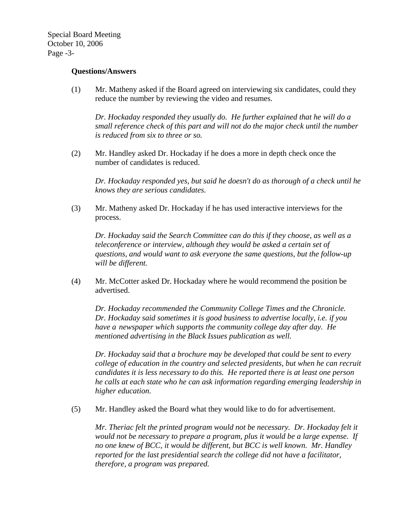Special Board Meeting October 10, 2006 Page -3-

#### **Questions/Answers**

(1) Mr. Matheny asked if the Board agreed on interviewing six candidates, could they reduce the number by reviewing the video and resumes.

*Dr. Hockaday responded they usually do. He further explained that he will do a small reference check of this part and will not do the major check until the number is reduced from six to three or so.* 

(2) Mr. Handley asked Dr. Hockaday if he does a more in depth check once the number of candidates is reduced.

*Dr. Hockaday responded yes, but said he doesn't do as thorough of a check until he knows they are serious candidates.* 

(3) Mr. Matheny asked Dr. Hockaday if he has used interactive interviews for the process.

*Dr. Hockaday said the Search Committee can do this if they choose, as well as a teleconference or interview, although they would be asked a certain set of questions, and would want to ask everyone the same questions, but the follow-up will be different.* 

(4) Mr. McCotter asked Dr. Hockaday where he would recommend the position be advertised.

 *Dr. Hockaday recommended the Community College Times and the Chronicle. Dr. Hockaday said sometimes it is good business to advertise locally, i.e. if you have a newspaper which supports the community college day after day. He mentioned advertising in the Black Issues publication as well.* 

 *Dr. Hockaday said that a brochure may be developed that could be sent to every college of education in the country and selected presidents, but when he can recruit candidates it is less necessary to do this. He reported there is at least one person he calls at each state who he can ask information regarding emerging leadership in higher education.* 

(5) Mr. Handley asked the Board what they would like to do for advertisement.

*Mr. Theriac felt the printed program would not be necessary. Dr. Hockaday felt it would not be necessary to prepare a program, plus it would be a large expense. If no one knew of BCC, it would be different, but BCC is well known. Mr. Handley reported for the last presidential search the college did not have a facilitator, therefore, a program was prepared.*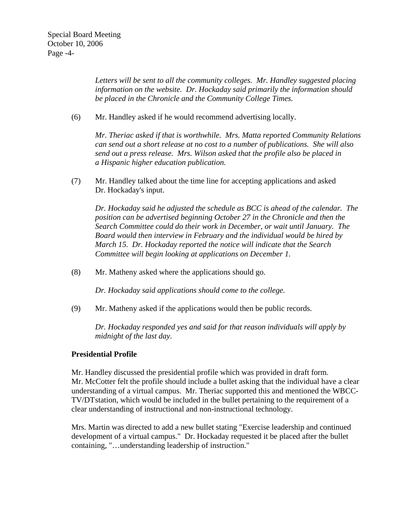*Letters will be sent to all the community colleges. Mr. Handley suggested placing information on the website. Dr. Hockaday said primarily the information should be placed in the Chronicle and the Community College Times.* 

(6) Mr. Handley asked if he would recommend advertising locally.

*Mr. Theriac asked if that is worthwhile. Mrs. Matta reported Community Relations can send out a short release at no cost to a number of publications. She will also send out a press release. Mrs. Wilson asked that the profile also be placed in a Hispanic higher education publication.* 

(7) Mr. Handley talked about the time line for accepting applications and asked Dr. Hockaday's input.

 *Dr. Hockaday said he adjusted the schedule as BCC is ahead of the calendar. The position can be advertised beginning October 27 in the Chronicle and then the Search Committee could do their work in December, or wait until January. The Board would then interview in February and the individual would be hired by March 15. Dr. Hockaday reported the notice will indicate that the Search Committee will begin looking at applications on December 1.* 

(8) Mr. Matheny asked where the applications should go.

*Dr. Hockaday said applications should come to the college.* 

(9) Mr. Matheny asked if the applications would then be public records.

*Dr. Hockaday responded yes and said for that reason individuals will apply by midnight of the last day.* 

# **Presidential Profile**

Mr. Handley discussed the presidential profile which was provided in draft form. Mr. McCotter felt the profile should include a bullet asking that the individual have a clear understanding of a virtual campus. Mr. Theriac supported this and mentioned the WBCC- TV/DT station, which would be included in the bullet pertaining to the requirement of a clear understanding of instructional and non-instructional technology.

Mrs. Martin was directed to add a new bullet stating "Exercise leadership and continued development of a virtual campus." Dr. Hockaday requested it be placed after the bullet containing, "…understanding leadership of instruction."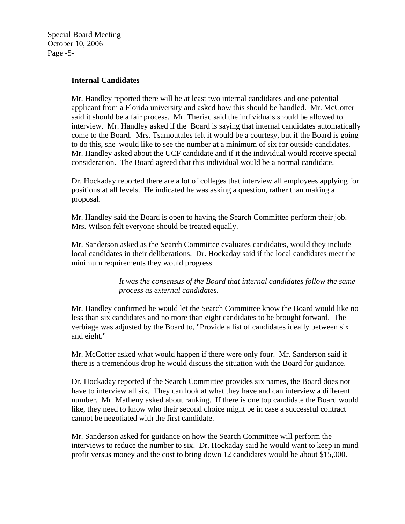Special Board Meeting October 10, 2006 Page -5-

#### **Internal Candidates**

Mr. Handley reported there will be at least two internal candidates and one potential applicant from a Florida university and asked how this should be handled. Mr. McCotter said it should be a fair process. Mr. Theriac said the individuals should be allowed to interview. Mr. Handley asked if the Board is saying that internal candidates automatically come to the Board. Mrs. Tsamoutales felt it would be a courtesy, but if the Board is going to do this, she would like to see the number at a minimum of six for outside candidates. Mr. Handley asked about the UCF candidate and if it the individual would receive special consideration. The Board agreed that this individual would be a normal candidate.

Dr. Hockaday reported there are a lot of colleges that interview all employees applying for positions at all levels. He indicated he was asking a question, rather than making a proposal.

Mr. Handley said the Board is open to having the Search Committee perform their job. Mrs. Wilson felt everyone should be treated equally.

Mr. Sanderson asked as the Search Committee evaluates candidates, would they include local candidates in their deliberations. Dr. Hockaday said if the local candidates meet the minimum requirements they would progress.

> *It was the consensus of the Board that internal candidates follow the same process as external candidates.*

Mr. Handley confirmed he would let the Search Committee know the Board would like no less than six candidates and no more than eight candidates to be brought forward. The verbiage was adjusted by the Board to, "Provide a list of candidates ideally between six and eight."

Mr. McCotter asked what would happen if there were only four. Mr. Sanderson said if there is a tremendous drop he would discuss the situation with the Board for guidance.

Dr. Hockaday reported if the Search Committee provides six names, the Board does not have to interview all six. They can look at what they have and can interview a different number. Mr. Matheny asked about ranking. If there is one top candidate the Board would like, they need to know who their second choice might be in case a successful contract cannot be negotiated with the first candidate.

Mr. Sanderson asked for guidance on how the Search Committee will perform the interviews to reduce the number to six. Dr. Hockaday said he would want to keep in mind profit versus money and the cost to bring down 12 candidates would be about \$15,000.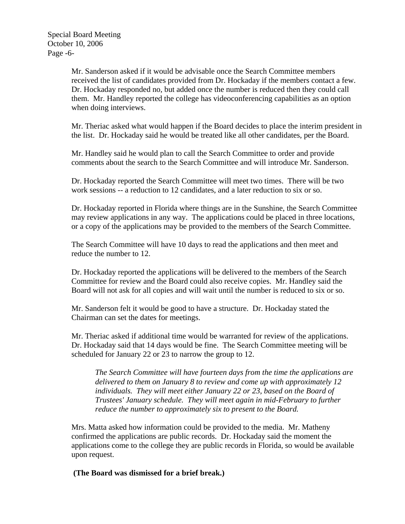Mr. Sanderson asked if it would be advisable once the Search Committee members received the list of candidates provided from Dr. Hockaday if the members contact a few. Dr. Hockaday responded no, but added once the number is reduced then they could call them. Mr. Handley reported the college has videoconferencing capabilities as an option when doing interviews.

Mr. Theriac asked what would happen if the Board decides to place the interim president in the list. Dr. Hockaday said he would be treated like all other candidates, per the Board.

Mr. Handley said he would plan to call the Search Committee to order and provide comments about the search to the Search Committee and will introduce Mr. Sanderson.

Dr. Hockaday reported the Search Committee will meet two times. There will be two work sessions -- a reduction to 12 candidates, and a later reduction to six or so.

Dr. Hockaday reported in Florida where things are in the Sunshine, the Search Committee may review applications in any way. The applications could be placed in three locations, or a copy of the applications may be provided to the members of the Search Committee.

The Search Committee will have 10 days to read the applications and then meet and reduce the number to 12.

Dr. Hockaday reported the applications will be delivered to the members of the Search Committee for review and the Board could also receive copies. Mr. Handley said the Board will not ask for all copies and will wait until the number is reduced to six or so.

Mr. Sanderson felt it would be good to have a structure. Dr. Hockaday stated the Chairman can set the dates for meetings.

Mr. Theriac asked if additional time would be warranted for review of the applications. Dr. Hockaday said that 14 days would be fine. The Search Committee meeting will be scheduled for January 22 or 23 to narrow the group to 12.

 *The Search Committee will have fourteen days from the time the applications are delivered to them on January 8 to review and come up with approximately 12 individuals. They will meet either January 22 or 23, based on the Board of Trustees' January schedule. They will meet again in mid-February to further reduce the number to approximately six to present to the Board.* 

Mrs. Matta asked how information could be provided to the media. Mr. Matheny confirmed the applications are public records. Dr. Hockaday said the moment the applications come to the college they are public records in Florida, so would be available upon request.

 **(The Board was dismissed for a brief break.)**